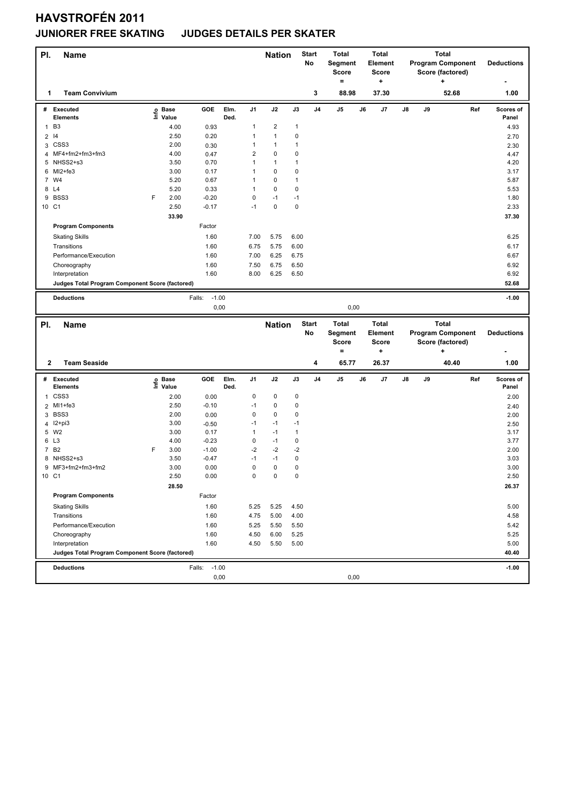## **HAVSTROFÉN 2011**

#### **JUNIORER FREE SKATING JUDGES DETAILS PER SKATER**

| PI.            | <b>Name</b>                                                       |   |                   |                   |              |                                | <b>Nation</b> |              | <b>Start</b><br>No | <b>Total</b><br>Segment<br>Score<br>$=$ |    | <b>Total</b><br><b>Element</b><br><b>Score</b><br>+ |    | <b>Program Component</b> | <b>Total</b><br>Score (factored)<br>٠ |     | <b>Deductions</b>  |
|----------------|-------------------------------------------------------------------|---|-------------------|-------------------|--------------|--------------------------------|---------------|--------------|--------------------|-----------------------------------------|----|-----------------------------------------------------|----|--------------------------|---------------------------------------|-----|--------------------|
| 1              | <b>Team Convivium</b>                                             |   |                   |                   |              |                                |               |              | 3                  | 88.98                                   |    | 37.30                                               |    |                          | 52.68                                 |     | 1.00               |
|                | # Executed<br><b>Elements</b>                                     |   | e Base<br>⊆ Value | GOE               | Elm.<br>Ded. | J1                             | J2            | J3           | J <sub>4</sub>     | J5                                      | J6 | J7                                                  | J8 | J9                       |                                       | Ref | Scores of<br>Panel |
|                |                                                                   |   |                   |                   |              | 1                              | 2             | 1            |                    |                                         |    |                                                     |    |                          |                                       |     |                    |
| $\mathbf{1}$   | B <sub>3</sub>                                                    |   | 4.00              | 0.93              |              |                                |               |              |                    |                                         |    |                                                     |    |                          |                                       |     | 4.93               |
| $\overline{2}$ | 14                                                                |   | 2.50              | 0.20              |              | $\mathbf{1}$                   | 1             | 0            |                    |                                         |    |                                                     |    |                          |                                       |     | 2.70               |
|                | 3 CSS3                                                            |   | 2.00              | 0.30              |              | $\mathbf{1}$<br>$\overline{c}$ | 1             | 1            |                    |                                         |    |                                                     |    |                          |                                       |     | 2.30               |
| 4              | MF4+fm2+fm3+fm3<br>5 NHSS2+s3                                     |   | 4.00              | 0.47              |              |                                | 0             | 0            |                    |                                         |    |                                                     |    |                          |                                       |     | 4.47               |
|                | 6 MI2+fe3                                                         |   | 3.50<br>3.00      | 0.70<br>0.17      |              | $\mathbf{1}$<br>$\mathbf{1}$   | 1<br>0        | 1<br>0       |                    |                                         |    |                                                     |    |                          |                                       |     | 4.20<br>3.17       |
|                | 7 W4                                                              |   | 5.20              | 0.67              |              | $\mathbf{1}$                   | 0             | 1            |                    |                                         |    |                                                     |    |                          |                                       |     | 5.87               |
|                | 8 L4                                                              |   | 5.20              | 0.33              |              | $\mathbf{1}$                   | 0             | 0            |                    |                                         |    |                                                     |    |                          |                                       |     | 5.53               |
| 9              | BSS3                                                              | F | 2.00              | $-0.20$           |              | 0                              | $-1$          | $-1$         |                    |                                         |    |                                                     |    |                          |                                       |     | 1.80               |
| 10 C1          |                                                                   |   | 2.50              | $-0.17$           |              | $-1$                           | 0             | 0            |                    |                                         |    |                                                     |    |                          |                                       |     | 2.33               |
|                |                                                                   |   |                   |                   |              |                                |               |              |                    |                                         |    |                                                     |    |                          |                                       |     |                    |
|                | <b>Program Components</b>                                         |   | 33.90             | Factor            |              |                                |               |              |                    |                                         |    |                                                     |    |                          |                                       |     | 37.30              |
|                |                                                                   |   |                   |                   |              |                                |               |              |                    |                                         |    |                                                     |    |                          |                                       |     |                    |
|                | <b>Skating Skills</b>                                             |   |                   | 1.60              |              | 7.00                           | 5.75          | 6.00         |                    |                                         |    |                                                     |    |                          |                                       |     | 6.25               |
|                | Transitions                                                       |   |                   | 1.60              |              | 6.75                           | 5.75          | 6.00         |                    |                                         |    |                                                     |    |                          |                                       |     | 6.17               |
|                | Performance/Execution                                             |   |                   | 1.60              |              | 7.00                           | 6.25          | 6.75         |                    |                                         |    |                                                     |    |                          |                                       |     | 6.67               |
|                | Choreography                                                      |   |                   | 1.60              |              | 7.50                           | 6.75          | 6.50         |                    |                                         |    |                                                     |    |                          |                                       |     | 6.92               |
|                | Interpretation                                                    |   |                   | 1.60              |              | 8.00                           | 6.25          | 6.50         |                    |                                         |    |                                                     |    |                          |                                       |     | 6.92               |
|                | Judges Total Program Component Score (factored)                   |   |                   |                   |              |                                |               |              |                    |                                         |    |                                                     |    |                          |                                       |     | 52.68              |
|                | <b>Deductions</b>                                                 |   |                   | $-1.00$<br>Falls: |              |                                |               |              |                    |                                         |    |                                                     |    |                          |                                       |     | $-1.00$            |
|                |                                                                   |   |                   | 0,00              |              |                                |               |              |                    | 0,00                                    |    |                                                     |    |                          |                                       |     |                    |
|                |                                                                   |   |                   |                   |              |                                |               |              |                    |                                         |    |                                                     |    |                          |                                       |     |                    |
|                |                                                                   |   |                   |                   |              |                                |               |              |                    |                                         |    |                                                     |    |                          |                                       |     |                    |
| PI.            | <b>Name</b>                                                       |   |                   |                   |              |                                | <b>Nation</b> |              | <b>Start</b>       | <b>Total</b>                            |    | <b>Total</b>                                        |    |                          | <b>Total</b>                          |     |                    |
|                |                                                                   |   |                   |                   |              |                                |               |              | No                 | Segment                                 |    | <b>Element</b>                                      |    | <b>Program Component</b> |                                       |     | <b>Deductions</b>  |
|                |                                                                   |   |                   |                   |              |                                |               |              |                    | <b>Score</b><br>$=$                     |    | Score                                               |    |                          | Score (factored)<br>٠                 |     |                    |
|                |                                                                   |   |                   |                   |              |                                |               |              |                    |                                         |    | +                                                   |    |                          |                                       |     |                    |
| $\mathbf{2}$   | <b>Team Seaside</b>                                               |   |                   |                   |              |                                |               |              | 4                  | 65.77                                   |    | 26.37                                               |    |                          | 40.40                                 |     | 1.00               |
|                | # Executed                                                        |   |                   | GOE               | Elm.         | J1                             | J2            | J3           | J <sub>4</sub>     | J <sub>5</sub>                          | J6 | J7                                                  | J8 | J9                       |                                       | Ref | Scores of          |
|                | <b>Elements</b>                                                   |   | e Base<br>⊆ Value |                   | Ded.         |                                |               |              |                    |                                         |    |                                                     |    |                          |                                       |     | Panel              |
| 1              | CSS <sub>3</sub>                                                  |   | 2.00              | 0.00              |              | 0                              | 0             | 0            |                    |                                         |    |                                                     |    |                          |                                       |     | 2.00               |
| $\overline{2}$ | MI1+fe3                                                           |   | 2.50              | $-0.10$           |              | $-1$                           | 0             | 0            |                    |                                         |    |                                                     |    |                          |                                       |     | 2.40               |
|                | 3 BSS3                                                            |   | 2.00              | 0.00              |              | 0                              | 0             | 0            |                    |                                         |    |                                                     |    |                          |                                       |     | 2.00               |
|                | 4 I2+pi3                                                          |   | 3.00              | $-0.50$           |              | $-1$                           | $-1$          | $-1$         |                    |                                         |    |                                                     |    |                          |                                       |     | 2.50               |
|                | 5 W2                                                              |   | 3.00              | 0.17              |              | $\mathbf{1}$                   | $-1$          | $\mathbf{1}$ |                    |                                         |    |                                                     |    |                          |                                       |     | 3.17               |
|                | 6 L3                                                              |   | 4.00              | $-0.23$           |              | 0                              | $-1$          | 0            |                    |                                         |    |                                                     |    |                          |                                       |     | 3.77               |
|                | 7 B <sub>2</sub>                                                  | F | 3.00              | $-1.00$           |              | $-2$                           | $-2$          | $-2$         |                    |                                         |    |                                                     |    |                          |                                       |     | 2.00               |
|                | 8 NHSS2+s3                                                        |   | 3.50              | $-0.47$           |              | $-1$                           | $-1$          | 0            |                    |                                         |    |                                                     |    |                          |                                       |     | 3.03               |
|                | 9 MF3+fm2+fm3+fm2                                                 |   | 3.00              | 0.00              |              | 0                              | 0             | 0            |                    |                                         |    |                                                     |    |                          |                                       |     | 3.00               |
|                | 10 C1                                                             |   | 2.50              | 0.00              |              | 0                              | 0             | $\pmb{0}$    |                    |                                         |    |                                                     |    |                          |                                       |     | 2.50               |
|                |                                                                   |   | 28.50             |                   |              |                                |               |              |                    |                                         |    |                                                     |    |                          |                                       |     | 26.37              |
|                | <b>Program Components</b>                                         |   |                   | Factor            |              |                                |               |              |                    |                                         |    |                                                     |    |                          |                                       |     |                    |
|                | <b>Skating Skills</b>                                             |   |                   | 1.60              |              | 5.25                           | 5.25          | 4.50         |                    |                                         |    |                                                     |    |                          |                                       |     | 5.00               |
|                | Transitions                                                       |   |                   | 1.60              |              | 4.75                           | 5.00          | 4.00         |                    |                                         |    |                                                     |    |                          |                                       |     | 4.58               |
|                | Performance/Execution                                             |   |                   | 1.60              |              | 5.25                           | 5.50          | 5.50         |                    |                                         |    |                                                     |    |                          |                                       |     | 5.42               |
|                |                                                                   |   |                   | 1.60              |              | 4.50                           | 6.00          | 5.25         |                    |                                         |    |                                                     |    |                          |                                       |     | 5.25               |
|                | Choreography                                                      |   |                   |                   |              |                                |               |              |                    |                                         |    |                                                     |    |                          |                                       |     |                    |
|                | Interpretation<br>Judges Total Program Component Score (factored) |   |                   | 1.60              |              | 4.50                           | 5.50          | 5.00         |                    |                                         |    |                                                     |    |                          |                                       |     | 5.00<br>40.40      |
|                |                                                                   |   |                   |                   |              |                                |               |              |                    |                                         |    |                                                     |    |                          |                                       |     |                    |
|                | <b>Deductions</b>                                                 |   |                   | $-1.00$<br>Falls: | 0,00         |                                |               |              |                    | 0,00                                    |    |                                                     |    |                          |                                       |     | $-1.00$            |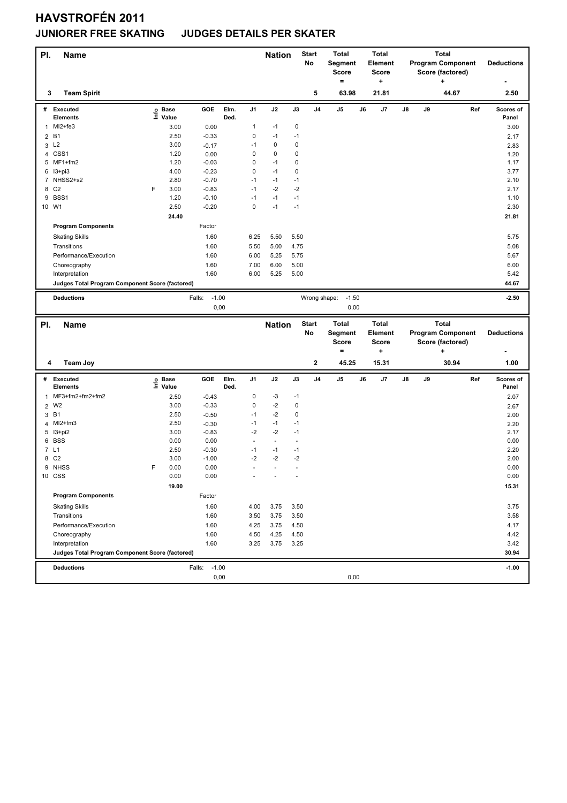# **HAVSTROFÉN 2011**

#### **JUNIORER FREE SKATING JUDGES DETAILS PER SKATER**

| PI.          | <b>Name</b>                                     |   |                                                                 |                           |      |                      | <b>Nation</b>                |                                  | Start<br>No    | <b>Total</b><br>Segment<br>Score<br>$=$ |    | Total<br>Element<br><b>Score</b><br>÷ |    | <b>Program Component</b> | <b>Total</b><br>٠ | Score (factored) |     | <b>Deductions</b> |
|--------------|-------------------------------------------------|---|-----------------------------------------------------------------|---------------------------|------|----------------------|------------------------------|----------------------------------|----------------|-----------------------------------------|----|---------------------------------------|----|--------------------------|-------------------|------------------|-----|-------------------|
| 3            | <b>Team Spirit</b>                              |   |                                                                 |                           |      |                      |                              |                                  | 5              | 63.98                                   |    | 21.81                                 |    |                          |                   | 44.67            |     | 2.50              |
|              | # Executed                                      |   | $\overset{\circ}{\subseteq}$ Base<br>$\overset{\circ}{=}$ Value | GOE                       | Elm. | J1                   | J2                           | J3                               | J <sub>4</sub> | J5                                      | J6 | J7                                    | J8 | J9                       |                   |                  | Ref | Scores of         |
|              | <b>Elements</b>                                 |   |                                                                 |                           | Ded. |                      |                              | 0                                |                |                                         |    |                                       |    |                          |                   |                  |     | Panel             |
| $\mathbf{1}$ | MI2+fe3<br><b>B1</b>                            |   | 3.00<br>2.50                                                    | 0.00<br>$-0.33$           |      | 1<br>0               | $-1$<br>$-1$                 | $-1$                             |                |                                         |    |                                       |    |                          |                   |                  |     | 3.00              |
| 2            | 3 L <sub>2</sub>                                |   | 3.00                                                            | $-0.17$                   |      | $-1$                 | 0                            | 0                                |                |                                         |    |                                       |    |                          |                   |                  |     | 2.17<br>2.83      |
|              | 4 CSS1                                          |   | 1.20                                                            | 0.00                      |      | 0                    | 0                            | $\pmb{0}$                        |                |                                         |    |                                       |    |                          |                   |                  |     | 1.20              |
|              | 5 MF1+fm2                                       |   | 1.20                                                            | $-0.03$                   |      | $\mathbf 0$          | $-1$                         | $\mathbf 0$                      |                |                                         |    |                                       |    |                          |                   |                  |     | 1.17              |
|              | 6 13+pi3                                        |   | 4.00                                                            | $-0.23$                   |      | $\mathbf 0$          | $-1$                         | $\pmb{0}$                        |                |                                         |    |                                       |    |                          |                   |                  |     | 3.77              |
|              | 7 NHSS2+s2                                      |   | 2.80                                                            | $-0.70$                   |      | $-1$                 | $-1$                         | $-1$                             |                |                                         |    |                                       |    |                          |                   |                  |     | 2.10              |
|              | 8 C <sub>2</sub>                                | F | 3.00                                                            | $-0.83$                   |      | $-1$                 | $-2$                         | $-2$                             |                |                                         |    |                                       |    |                          |                   |                  |     | 2.17              |
| 9            | BSS1                                            |   | 1.20                                                            | $-0.10$                   |      | $-1$                 | $-1$                         | $-1$                             |                |                                         |    |                                       |    |                          |                   |                  |     | 1.10              |
| 10 W1        |                                                 |   | 2.50                                                            | $-0.20$                   |      | $\mathbf 0$          | $-1$                         | $-1$                             |                |                                         |    |                                       |    |                          |                   |                  |     | 2.30              |
|              |                                                 |   | 24.40                                                           |                           |      |                      |                              |                                  |                |                                         |    |                                       |    |                          |                   |                  |     | 21.81             |
|              | <b>Program Components</b>                       |   |                                                                 | Factor                    |      |                      |                              |                                  |                |                                         |    |                                       |    |                          |                   |                  |     |                   |
|              | <b>Skating Skills</b>                           |   |                                                                 | 1.60                      |      | 6.25                 | 5.50                         | 5.50                             |                |                                         |    |                                       |    |                          |                   |                  |     | 5.75              |
|              | Transitions                                     |   |                                                                 | 1.60                      |      | 5.50                 | 5.00                         | 4.75                             |                |                                         |    |                                       |    |                          |                   |                  |     | 5.08              |
|              | Performance/Execution                           |   |                                                                 | 1.60                      |      | 6.00                 | 5.25                         | 5.75                             |                |                                         |    |                                       |    |                          |                   |                  |     | 5.67              |
|              | Choreography                                    |   |                                                                 | 1.60                      |      | 7.00                 | 6.00                         | 5.00                             |                |                                         |    |                                       |    |                          |                   |                  |     | 6.00              |
|              | Interpretation                                  |   |                                                                 | 1.60                      |      | 6.00                 | 5.25                         | 5.00                             |                |                                         |    |                                       |    |                          |                   |                  |     | 5.42              |
|              | Judges Total Program Component Score (factored) |   |                                                                 |                           |      |                      |                              |                                  |                |                                         |    |                                       |    |                          |                   |                  |     | 44.67             |
|              | <b>Deductions</b>                               |   |                                                                 | Falls:<br>$-1.00$         |      |                      |                              |                                  | Wrong shape:   | $-1.50$                                 |    |                                       |    |                          |                   |                  |     | $-2.50$           |
|              |                                                 |   |                                                                 | 0,00                      |      |                      |                              |                                  |                | 0,00                                    |    |                                       |    |                          |                   |                  |     |                   |
|              |                                                 |   |                                                                 |                           |      |                      |                              |                                  |                |                                         |    |                                       |    |                          |                   |                  |     |                   |
|              |                                                 |   |                                                                 |                           |      |                      |                              |                                  |                |                                         |    |                                       |    |                          |                   |                  |     |                   |
| PI.          | Name                                            |   |                                                                 |                           |      |                      | <b>Nation</b>                |                                  | <b>Start</b>   | Total                                   |    | <b>Total</b>                          |    |                          | <b>Total</b>      |                  |     |                   |
|              |                                                 |   |                                                                 |                           |      |                      |                              |                                  | No             | Segment                                 |    | <b>Element</b>                        |    | <b>Program Component</b> |                   |                  |     | <b>Deductions</b> |
|              |                                                 |   |                                                                 |                           |      |                      |                              |                                  |                | <b>Score</b><br>$=$                     |    | <b>Score</b><br>÷                     |    |                          | ٠                 | Score (factored) |     |                   |
|              |                                                 |   |                                                                 |                           |      |                      |                              |                                  |                |                                         |    |                                       |    |                          |                   |                  |     |                   |
| 4            | <b>Team Joy</b>                                 |   |                                                                 |                           |      |                      |                              |                                  | $\mathbf{2}$   | 45.25                                   |    | 15.31                                 |    |                          |                   | 30.94            |     | 1.00              |
|              | # Executed                                      |   |                                                                 | GOE                       | Elm. | J1                   | J2                           | $\mathsf{J3}$                    | J <sub>4</sub> | J5                                      | J6 | J7                                    | J8 | J9                       |                   |                  | Ref | Scores of         |
|              | <b>Elements</b>                                 |   | e Base<br>⊆ Value                                               |                           | Ded. |                      |                              |                                  |                |                                         |    |                                       |    |                          |                   |                  |     | Panel             |
| $\mathbf{1}$ | MF3+fm2+fm2+fm2                                 |   | 2.50                                                            | $-0.43$                   |      | $\pmb{0}$            | $-3$                         | $-1$                             |                |                                         |    |                                       |    |                          |                   |                  |     | 2.07              |
|              | 2 W2                                            |   | 3.00                                                            | $-0.33$                   |      | 0                    | $-2$                         | 0                                |                |                                         |    |                                       |    |                          |                   |                  |     | 2.67              |
| 3            | <b>B1</b>                                       |   | 2.50                                                            | $-0.50$                   |      | $-1$                 | $-2$                         | $\mathbf 0$                      |                |                                         |    |                                       |    |                          |                   |                  |     | 2.00              |
|              | 4 MI2+fm3                                       |   | 2.50                                                            | $-0.30$                   |      | $-1$                 | $-1$                         | $-1$                             |                |                                         |    |                                       |    |                          |                   |                  |     | 2.20              |
|              | 5 I3+pi2                                        |   | 3.00                                                            | $-0.83$                   |      | $-2$<br>$\sim$       | $-2$                         | $-1$<br>÷,                       |                |                                         |    |                                       |    |                          |                   |                  |     | 2.17              |
|              | 6 BSS                                           |   | 0.00                                                            | 0.00                      |      | $-1$                 | $\blacksquare$<br>$-1$       | $-1$                             |                |                                         |    |                                       |    |                          |                   |                  |     | 0.00              |
| 7 L1         |                                                 |   | 2.50                                                            | $-0.30$                   |      |                      |                              |                                  |                |                                         |    |                                       |    |                          |                   |                  |     | 2.20              |
|              | 8 C2<br>9 NHSS                                  | F | 3.00<br>0.00                                                    | $-1.00$<br>0.00           |      | -2<br>$\overline{a}$ | $-2$<br>$\ddot{\phantom{1}}$ | $-2$<br>$\overline{\phantom{a}}$ |                |                                         |    |                                       |    |                          |                   |                  |     | 2.00<br>0.00      |
|              | 10 CSS                                          |   | 0.00                                                            | 0.00                      |      |                      |                              |                                  |                |                                         |    |                                       |    |                          |                   |                  |     | 0.00              |
|              |                                                 |   | 19.00                                                           |                           |      |                      |                              |                                  |                |                                         |    |                                       |    |                          |                   |                  |     | 15.31             |
|              | <b>Program Components</b>                       |   |                                                                 | Factor                    |      |                      |                              |                                  |                |                                         |    |                                       |    |                          |                   |                  |     |                   |
|              | <b>Skating Skills</b>                           |   |                                                                 | 1.60                      |      | 4.00                 | 3.75                         | 3.50                             |                |                                         |    |                                       |    |                          |                   |                  |     | 3.75              |
|              | Transitions                                     |   |                                                                 | 1.60                      |      | 3.50                 | 3.75                         | 3.50                             |                |                                         |    |                                       |    |                          |                   |                  |     | 3.58              |
|              | Performance/Execution                           |   |                                                                 | 1.60                      |      | 4.25                 | 3.75                         | 4.50                             |                |                                         |    |                                       |    |                          |                   |                  |     | 4.17              |
|              | Choreography                                    |   |                                                                 | 1.60                      |      | 4.50                 | 4.25                         | 4.50                             |                |                                         |    |                                       |    |                          |                   |                  |     | 4.42              |
|              | Interpretation                                  |   |                                                                 | 1.60                      |      | 3.25                 | 3.75                         | 3.25                             |                |                                         |    |                                       |    |                          |                   |                  |     | 3.42              |
|              | Judges Total Program Component Score (factored) |   |                                                                 |                           |      |                      |                              |                                  |                |                                         |    |                                       |    |                          |                   |                  |     | 30.94             |
|              |                                                 |   |                                                                 |                           |      |                      |                              |                                  |                |                                         |    |                                       |    |                          |                   |                  |     |                   |
|              | <b>Deductions</b>                               |   |                                                                 | $-1.00$<br>Falls:<br>0,00 |      |                      |                              |                                  |                | 0,00                                    |    |                                       |    |                          |                   |                  |     | $-1.00$           |